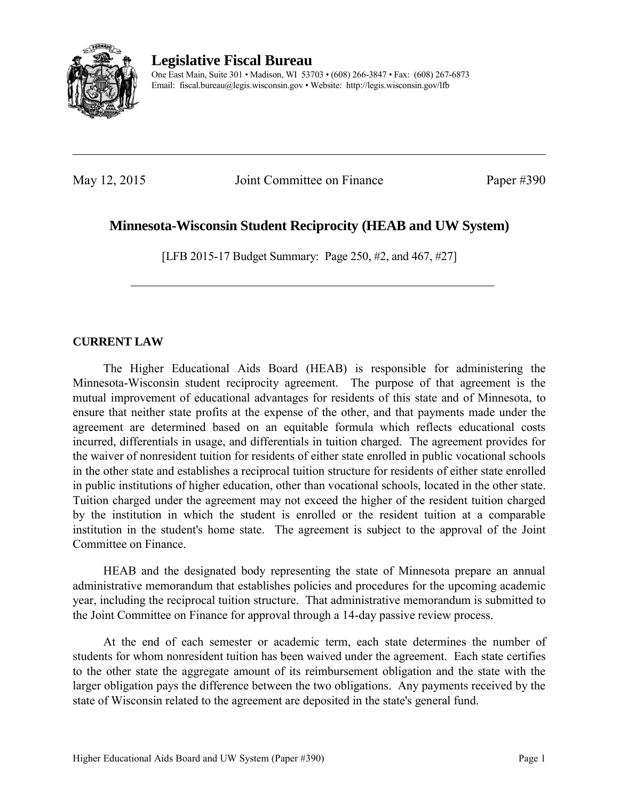

**Legislative Fiscal Bureau**  One East Main, Suite 301 • Madison, WI 53703 • (608) 266-3847 • Fax: (608) 267-6873 Email: fiscal.bureau@legis.wisconsin.gov • Website:<http://legis.wisconsin.gov/lfb>

May 12, 2015 Joint Committee on Finance Paper #390

# **Minnesota-Wisconsin Student Reciprocity (HEAB and UW System)**

[LFB 2015-17 Budget Summary: Page 250, #2, and 467, #27]

# **CURRENT LAW**

 The Higher Educational Aids Board (HEAB) is responsible for administering the Minnesota-Wisconsin student reciprocity agreement. The purpose of that agreement is the mutual improvement of educational advantages for residents of this state and of Minnesota, to ensure that neither state profits at the expense of the other, and that payments made under the agreement are determined based on an equitable formula which reflects educational costs incurred, differentials in usage, and differentials in tuition charged. The agreement provides for the waiver of nonresident tuition for residents of either state enrolled in public vocational schools in the other state and establishes a reciprocal tuition structure for residents of either state enrolled in public institutions of higher education, other than vocational schools, located in the other state. Tuition charged under the agreement may not exceed the higher of the resident tuition charged by the institution in which the student is enrolled or the resident tuition at a comparable institution in the student's home state. The agreement is subject to the approval of the Joint Committee on Finance.

 HEAB and the designated body representing the state of Minnesota prepare an annual administrative memorandum that establishes policies and procedures for the upcoming academic year, including the reciprocal tuition structure. That administrative memorandum is submitted to the Joint Committee on Finance for approval through a 14-day passive review process.

 At the end of each semester or academic term, each state determines the number of students for whom nonresident tuition has been waived under the agreement. Each state certifies to the other state the aggregate amount of its reimbursement obligation and the state with the larger obligation pays the difference between the two obligations. Any payments received by the state of Wisconsin related to the agreement are deposited in the state's general fund.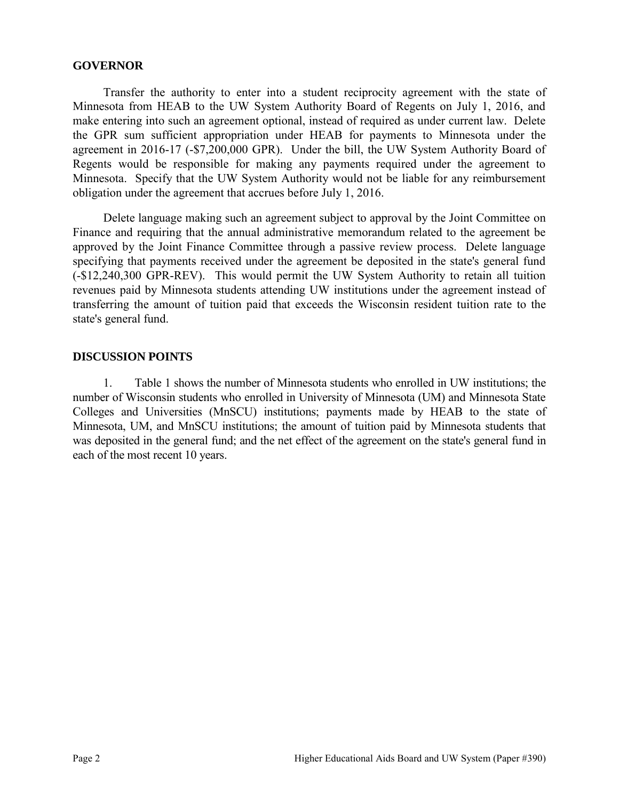#### **GOVERNOR**

 Transfer the authority to enter into a student reciprocity agreement with the state of Minnesota from HEAB to the UW System Authority Board of Regents on July 1, 2016, and make entering into such an agreement optional, instead of required as under current law. Delete the GPR sum sufficient appropriation under HEAB for payments to Minnesota under the agreement in 2016-17 (-\$7,200,000 GPR). Under the bill, the UW System Authority Board of Regents would be responsible for making any payments required under the agreement to Minnesota. Specify that the UW System Authority would not be liable for any reimbursement obligation under the agreement that accrues before July 1, 2016.

 Delete language making such an agreement subject to approval by the Joint Committee on Finance and requiring that the annual administrative memorandum related to the agreement be approved by the Joint Finance Committee through a passive review process. Delete language specifying that payments received under the agreement be deposited in the state's general fund (-\$12,240,300 GPR-REV). This would permit the UW System Authority to retain all tuition revenues paid by Minnesota students attending UW institutions under the agreement instead of transferring the amount of tuition paid that exceeds the Wisconsin resident tuition rate to the state's general fund.

#### **DISCUSSION POINTS**

1. Table 1 shows the number of Minnesota students who enrolled in UW institutions; the number of Wisconsin students who enrolled in University of Minnesota (UM) and Minnesota State Colleges and Universities (MnSCU) institutions; payments made by HEAB to the state of Minnesota, UM, and MnSCU institutions; the amount of tuition paid by Minnesota students that was deposited in the general fund; and the net effect of the agreement on the state's general fund in each of the most recent 10 years.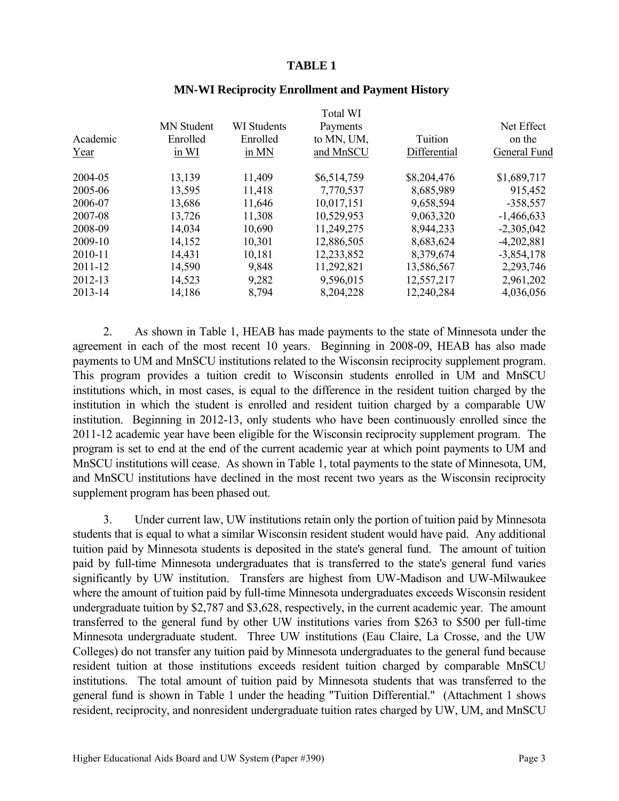#### **TABLE 1**

|          |                   |                    | Total WI    |              |              |
|----------|-------------------|--------------------|-------------|--------------|--------------|
|          | <b>MN</b> Student | <b>WI</b> Students | Payments    |              | Net Effect   |
| Academic | Enrolled          | Enrolled           | to MN, UM,  | Tuition      | on the       |
| Year     | in WI             | in MN              | and MnSCU   | Differential | General Fund |
| 2004-05  | 13,139            | 11,409             | \$6,514,759 | \$8,204,476  | \$1,689,717  |
| 2005-06  | 13,595            | 11,418             | 7,770,537   | 8,685,989    | 915,452      |
| 2006-07  | 13,686            | 11,646             | 10,017,151  | 9,658,594    | $-358,557$   |
| 2007-08  | 13,726            | 11,308             | 10,529,953  | 9,063,320    | $-1,466,633$ |
| 2008-09  | 14,034            | 10,690             | 11,249,275  | 8,944,233    | $-2,305,042$ |
| 2009-10  | 14,152            | 10,301             | 12,886,505  | 8,683,624    | $-4,202,881$ |
| 2010-11  | 14,431            | 10,181             | 12,233,852  | 8,379,674    | $-3,854,178$ |
| 2011-12  | 14,590            | 9,848              | 11,292,821  | 13,586,567   | 2,293,746    |
| 2012-13  | 14,523            | 9,282              | 9,596,015   | 12,557,217   | 2,961,202    |
| 2013-14  | 14,186            | 8,794              | 8,204,228   | 12,240,284   | 4,036,056    |
|          |                   |                    |             |              |              |

#### **MN-WI Reciprocity Enrollment and Payment History**

Total WINDS

2. As shown in Table 1, HEAB has made payments to the state of Minnesota under the agreement in each of the most recent 10 years. Beginning in 2008-09, HEAB has also made payments to UM and MnSCU institutions related to the Wisconsin reciprocity supplement program. This program provides a tuition credit to Wisconsin students enrolled in UM and MnSCU institutions which, in most cases, is equal to the difference in the resident tuition charged by the institution in which the student is enrolled and resident tuition charged by a comparable UW institution. Beginning in 2012-13, only students who have been continuously enrolled since the 2011-12 academic year have been eligible for the Wisconsin reciprocity supplement program. The program is set to end at the end of the current academic year at which point payments to UM and MnSCU institutions will cease. As shown in Table 1, total payments to the state of Minnesota, UM, and MnSCU institutions have declined in the most recent two years as the Wisconsin reciprocity supplement program has been phased out.

3. Under current law, UW institutions retain only the portion of tuition paid by Minnesota students that is equal to what a similar Wisconsin resident student would have paid. Any additional tuition paid by Minnesota students is deposited in the state's general fund. The amount of tuition paid by full-time Minnesota undergraduates that is transferred to the state's general fund varies significantly by UW institution. Transfers are highest from UW-Madison and UW-Milwaukee where the amount of tuition paid by full-time Minnesota undergraduates exceeds Wisconsin resident undergraduate tuition by \$2,787 and \$3,628, respectively, in the current academic year. The amount transferred to the general fund by other UW institutions varies from \$263 to \$500 per full-time Minnesota undergraduate student. Three UW institutions (Eau Claire, La Crosse, and the UW Colleges) do not transfer any tuition paid by Minnesota undergraduates to the general fund because resident tuition at those institutions exceeds resident tuition charged by comparable MnSCU institutions. The total amount of tuition paid by Minnesota students that was transferred to the general fund is shown in Table 1 under the heading "Tuition Differential." (Attachment 1 shows resident, reciprocity, and nonresident undergraduate tuition rates charged by UW, UM, and MnSCU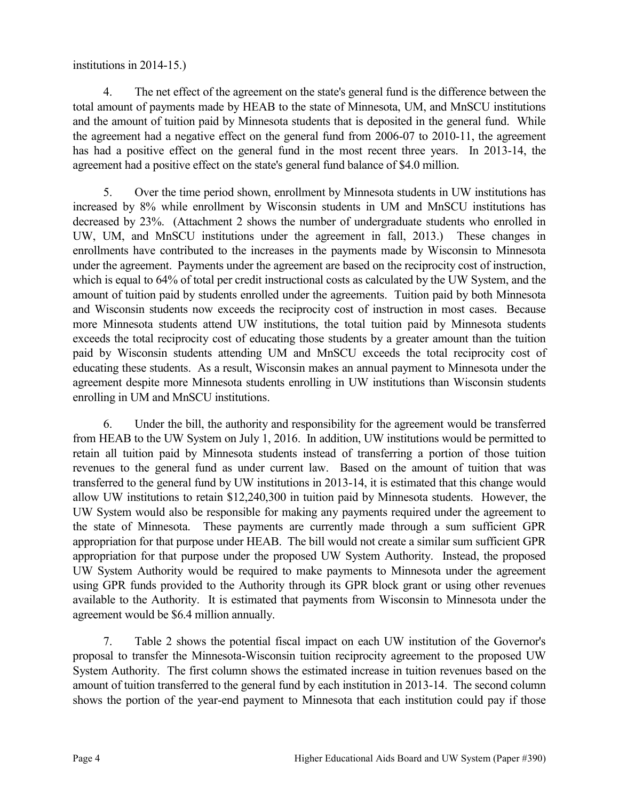institutions in 2014-15.)

4. The net effect of the agreement on the state's general fund is the difference between the total amount of payments made by HEAB to the state of Minnesota, UM, and MnSCU institutions and the amount of tuition paid by Minnesota students that is deposited in the general fund. While the agreement had a negative effect on the general fund from 2006-07 to 2010-11, the agreement has had a positive effect on the general fund in the most recent three years. In 2013-14, the agreement had a positive effect on the state's general fund balance of \$4.0 million.

5. Over the time period shown, enrollment by Minnesota students in UW institutions has increased by 8% while enrollment by Wisconsin students in UM and MnSCU institutions has decreased by 23%. (Attachment 2 shows the number of undergraduate students who enrolled in UW, UM, and MnSCU institutions under the agreement in fall, 2013.) These changes in enrollments have contributed to the increases in the payments made by Wisconsin to Minnesota under the agreement. Payments under the agreement are based on the reciprocity cost of instruction, which is equal to 64% of total per credit instructional costs as calculated by the UW System, and the amount of tuition paid by students enrolled under the agreements. Tuition paid by both Minnesota and Wisconsin students now exceeds the reciprocity cost of instruction in most cases. Because more Minnesota students attend UW institutions, the total tuition paid by Minnesota students exceeds the total reciprocity cost of educating those students by a greater amount than the tuition paid by Wisconsin students attending UM and MnSCU exceeds the total reciprocity cost of educating these students. As a result, Wisconsin makes an annual payment to Minnesota under the agreement despite more Minnesota students enrolling in UW institutions than Wisconsin students enrolling in UM and MnSCU institutions.

6. Under the bill, the authority and responsibility for the agreement would be transferred from HEAB to the UW System on July 1, 2016. In addition, UW institutions would be permitted to retain all tuition paid by Minnesota students instead of transferring a portion of those tuition revenues to the general fund as under current law. Based on the amount of tuition that was transferred to the general fund by UW institutions in 2013-14, it is estimated that this change would allow UW institutions to retain \$12,240,300 in tuition paid by Minnesota students. However, the UW System would also be responsible for making any payments required under the agreement to the state of Minnesota. These payments are currently made through a sum sufficient GPR appropriation for that purpose under HEAB. The bill would not create a similar sum sufficient GPR appropriation for that purpose under the proposed UW System Authority. Instead, the proposed UW System Authority would be required to make payments to Minnesota under the agreement using GPR funds provided to the Authority through its GPR block grant or using other revenues available to the Authority. It is estimated that payments from Wisconsin to Minnesota under the agreement would be \$6.4 million annually.

7. Table 2 shows the potential fiscal impact on each UW institution of the Governor's proposal to transfer the Minnesota-Wisconsin tuition reciprocity agreement to the proposed UW System Authority. The first column shows the estimated increase in tuition revenues based on the amount of tuition transferred to the general fund by each institution in 2013-14. The second column shows the portion of the year-end payment to Minnesota that each institution could pay if those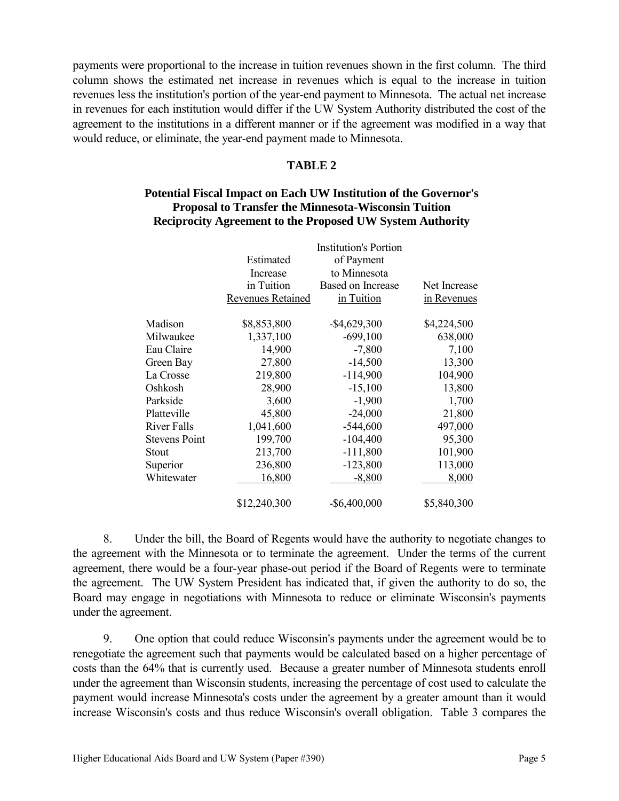payments were proportional to the increase in tuition revenues shown in the first column. The third column shows the estimated net increase in revenues which is equal to the increase in tuition revenues less the institution's portion of the year-end payment to Minnesota. The actual net increase in revenues for each institution would differ if the UW System Authority distributed the cost of the agreement to the institutions in a different manner or if the agreement was modified in a way that would reduce, or eliminate, the year-end payment made to Minnesota.

#### **TABLE 2**

### **Potential Fiscal Impact on Each UW Institution of the Governor's Proposal to Transfer the Minnesota-Wisconsin Tuition Reciprocity Agreement to the Proposed UW System Authority**

|                      |                          | <b>Institution's Portion</b> |              |
|----------------------|--------------------------|------------------------------|--------------|
|                      | Estimated                | of Payment                   |              |
|                      | Increase                 | to Minnesota                 |              |
|                      | in Tuition               | Based on Increase            | Net Increase |
|                      | <b>Revenues Retained</b> | in Tuition                   | in Revenues  |
| Madison              | \$8,853,800              | $-$ \$4,629,300              | \$4,224,500  |
| Milwaukee            | 1,337,100                | $-699,100$                   | 638,000      |
| Eau Claire           | 14,900                   | $-7,800$                     | 7,100        |
| Green Bay            | 27,800                   | $-14,500$                    | 13,300       |
| La Crosse            | 219,800                  | $-114,900$                   | 104,900      |
| Oshkosh              | 28,900                   | $-15,100$                    | 13,800       |
| Parkside             | 3,600                    | $-1,900$                     | 1,700        |
| Platteville          | 45,800                   | $-24,000$                    | 21,800       |
| River Falls          | 1,041,600                | $-544,600$                   | 497,000      |
| <b>Stevens Point</b> | 199,700                  | $-104,400$                   | 95,300       |
| Stout                | 213,700                  | $-111,800$                   | 101,900      |
| Superior             | 236,800                  | $-123,800$                   | 113,000      |
| Whitewater           | 16,800                   | $-8,800$                     | 8,000        |
|                      | \$12,240,300             | $-$ \$6,400,000              | \$5,840,300  |

8. Under the bill, the Board of Regents would have the authority to negotiate changes to the agreement with the Minnesota or to terminate the agreement. Under the terms of the current agreement, there would be a four-year phase-out period if the Board of Regents were to terminate the agreement. The UW System President has indicated that, if given the authority to do so, the Board may engage in negotiations with Minnesota to reduce or eliminate Wisconsin's payments under the agreement.

9. One option that could reduce Wisconsin's payments under the agreement would be to renegotiate the agreement such that payments would be calculated based on a higher percentage of costs than the 64% that is currently used. Because a greater number of Minnesota students enroll under the agreement than Wisconsin students, increasing the percentage of cost used to calculate the payment would increase Minnesota's costs under the agreement by a greater amount than it would increase Wisconsin's costs and thus reduce Wisconsin's overall obligation. Table 3 compares the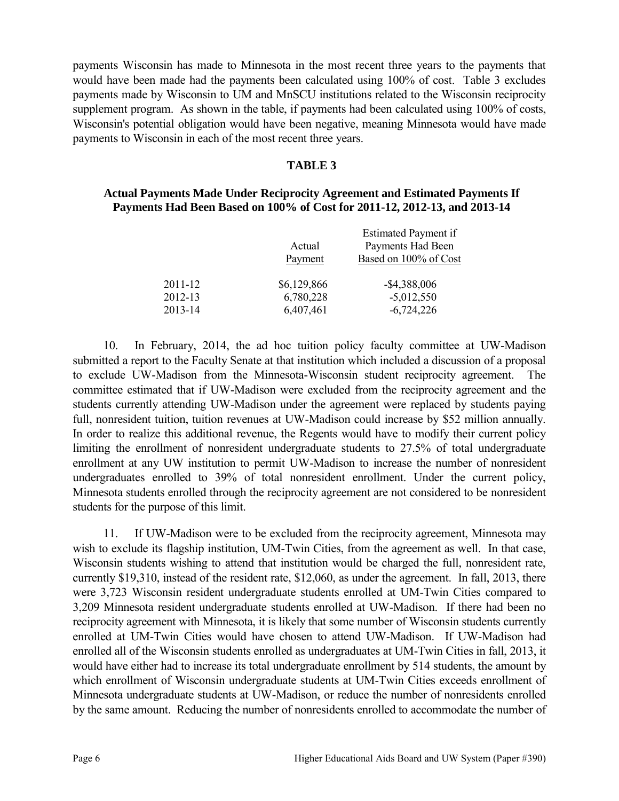payments Wisconsin has made to Minnesota in the most recent three years to the payments that would have been made had the payments been calculated using 100% of cost. Table 3 excludes payments made by Wisconsin to UM and MnSCU institutions related to the Wisconsin reciprocity supplement program. As shown in the table, if payments had been calculated using 100% of costs, Wisconsin's potential obligation would have been negative, meaning Minnesota would have made payments to Wisconsin in each of the most recent three years.

### **TABLE 3**

#### **Actual Payments Made Under Reciprocity Agreement and Estimated Payments If Payments Had Been Based on 100% of Cost for 2011-12, 2012-13, and 2013-14**

|         | Actual<br>Payment | Estimated Payment if<br>Payments Had Been<br>Based on 100% of Cost |
|---------|-------------------|--------------------------------------------------------------------|
| 2011-12 | \$6,129,866       | $-$ \$4,388,006                                                    |
| 2012-13 | 6,780,228         | $-5,012,550$                                                       |
| 2013-14 | 6,407,461         | $-6,724,226$                                                       |

10. In February, 2014, the ad hoc tuition policy faculty committee at UW-Madison submitted a report to the Faculty Senate at that institution which included a discussion of a proposal to exclude UW-Madison from the Minnesota-Wisconsin student reciprocity agreement. The committee estimated that if UW-Madison were excluded from the reciprocity agreement and the students currently attending UW-Madison under the agreement were replaced by students paying full, nonresident tuition, tuition revenues at UW-Madison could increase by \$52 million annually. In order to realize this additional revenue, the Regents would have to modify their current policy limiting the enrollment of nonresident undergraduate students to 27.5% of total undergraduate enrollment at any UW institution to permit UW-Madison to increase the number of nonresident undergraduates enrolled to 39% of total nonresident enrollment. Under the current policy, Minnesota students enrolled through the reciprocity agreement are not considered to be nonresident students for the purpose of this limit.

11. If UW-Madison were to be excluded from the reciprocity agreement, Minnesota may wish to exclude its flagship institution, UM-Twin Cities, from the agreement as well. In that case, Wisconsin students wishing to attend that institution would be charged the full, nonresident rate, currently \$19,310, instead of the resident rate, \$12,060, as under the agreement. In fall, 2013, there were 3,723 Wisconsin resident undergraduate students enrolled at UM-Twin Cities compared to 3,209 Minnesota resident undergraduate students enrolled at UW-Madison. If there had been no reciprocity agreement with Minnesota, it is likely that some number of Wisconsin students currently enrolled at UM-Twin Cities would have chosen to attend UW-Madison. If UW-Madison had enrolled all of the Wisconsin students enrolled as undergraduates at UM-Twin Cities in fall, 2013, it would have either had to increase its total undergraduate enrollment by 514 students, the amount by which enrollment of Wisconsin undergraduate students at UM-Twin Cities exceeds enrollment of Minnesota undergraduate students at UW-Madison, or reduce the number of nonresidents enrolled by the same amount. Reducing the number of nonresidents enrolled to accommodate the number of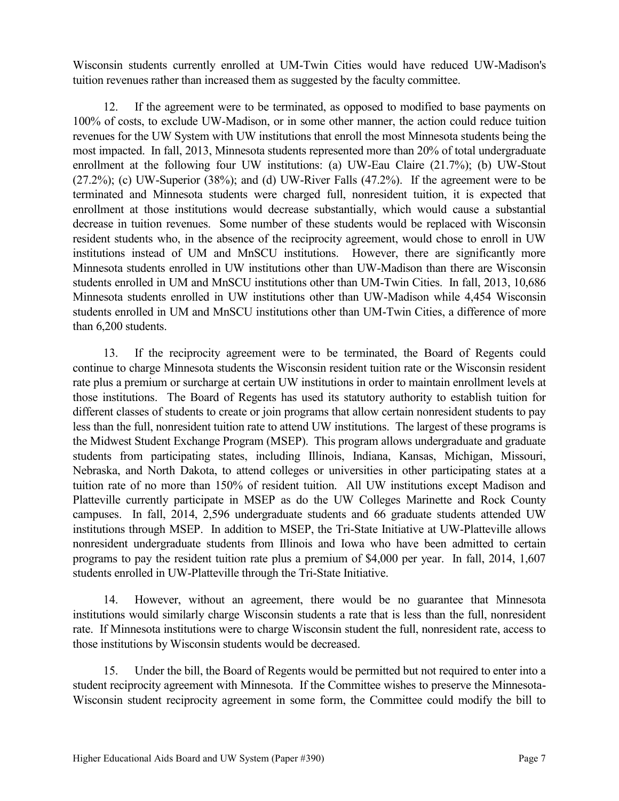Wisconsin students currently enrolled at UM-Twin Cities would have reduced UW-Madison's tuition revenues rather than increased them as suggested by the faculty committee.

12. If the agreement were to be terminated, as opposed to modified to base payments on 100% of costs, to exclude UW-Madison, or in some other manner, the action could reduce tuition revenues for the UW System with UW institutions that enroll the most Minnesota students being the most impacted. In fall, 2013, Minnesota students represented more than 20% of total undergraduate enrollment at the following four UW institutions: (a) UW-Eau Claire (21.7%); (b) UW-Stout (27.2%); (c) UW-Superior (38%); and (d) UW-River Falls (47.2%). If the agreement were to be terminated and Minnesota students were charged full, nonresident tuition, it is expected that enrollment at those institutions would decrease substantially, which would cause a substantial decrease in tuition revenues. Some number of these students would be replaced with Wisconsin resident students who, in the absence of the reciprocity agreement, would chose to enroll in UW institutions instead of UM and MnSCU institutions. However, there are significantly more Minnesota students enrolled in UW institutions other than UW-Madison than there are Wisconsin students enrolled in UM and MnSCU institutions other than UM-Twin Cities. In fall, 2013, 10,686 Minnesota students enrolled in UW institutions other than UW-Madison while 4,454 Wisconsin students enrolled in UM and MnSCU institutions other than UM-Twin Cities, a difference of more than 6,200 students.

13. If the reciprocity agreement were to be terminated, the Board of Regents could continue to charge Minnesota students the Wisconsin resident tuition rate or the Wisconsin resident rate plus a premium or surcharge at certain UW institutions in order to maintain enrollment levels at those institutions. The Board of Regents has used its statutory authority to establish tuition for different classes of students to create or join programs that allow certain nonresident students to pay less than the full, nonresident tuition rate to attend UW institutions. The largest of these programs is the Midwest Student Exchange Program (MSEP). This program allows undergraduate and graduate students from participating states, including Illinois, Indiana, Kansas, Michigan, Missouri, Nebraska, and North Dakota, to attend colleges or universities in other participating states at a tuition rate of no more than 150% of resident tuition. All UW institutions except Madison and Platteville currently participate in MSEP as do the UW Colleges Marinette and Rock County campuses. In fall, 2014, 2,596 undergraduate students and 66 graduate students attended UW institutions through MSEP. In addition to MSEP, the Tri-State Initiative at UW-Platteville allows nonresident undergraduate students from Illinois and Iowa who have been admitted to certain programs to pay the resident tuition rate plus a premium of \$4,000 per year. In fall, 2014, 1,607 students enrolled in UW-Platteville through the Tri-State Initiative.

14. However, without an agreement, there would be no guarantee that Minnesota institutions would similarly charge Wisconsin students a rate that is less than the full, nonresident rate. If Minnesota institutions were to charge Wisconsin student the full, nonresident rate, access to those institutions by Wisconsin students would be decreased.

15. Under the bill, the Board of Regents would be permitted but not required to enter into a student reciprocity agreement with Minnesota. If the Committee wishes to preserve the Minnesota-Wisconsin student reciprocity agreement in some form, the Committee could modify the bill to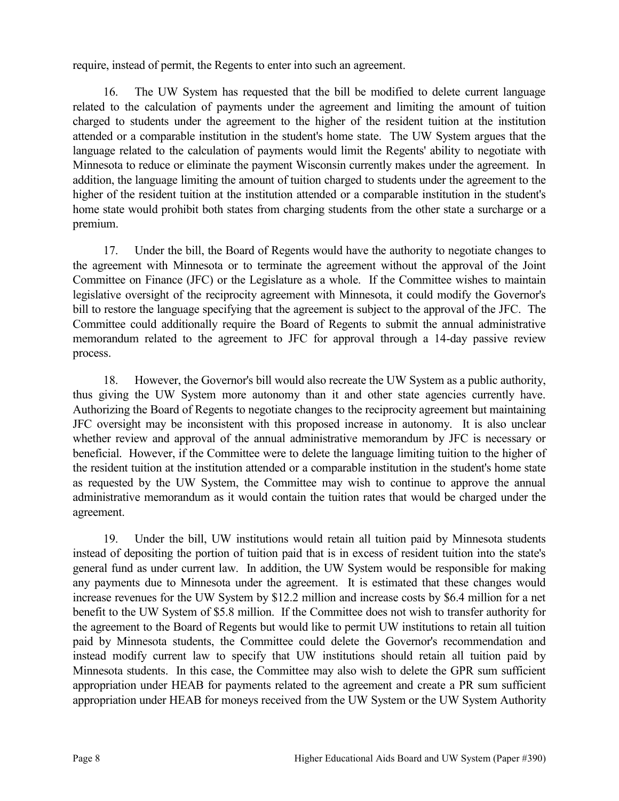require, instead of permit, the Regents to enter into such an agreement.

16. The UW System has requested that the bill be modified to delete current language related to the calculation of payments under the agreement and limiting the amount of tuition charged to students under the agreement to the higher of the resident tuition at the institution attended or a comparable institution in the student's home state. The UW System argues that the language related to the calculation of payments would limit the Regents' ability to negotiate with Minnesota to reduce or eliminate the payment Wisconsin currently makes under the agreement. In addition, the language limiting the amount of tuition charged to students under the agreement to the higher of the resident tuition at the institution attended or a comparable institution in the student's home state would prohibit both states from charging students from the other state a surcharge or a premium.

17. Under the bill, the Board of Regents would have the authority to negotiate changes to the agreement with Minnesota or to terminate the agreement without the approval of the Joint Committee on Finance (JFC) or the Legislature as a whole. If the Committee wishes to maintain legislative oversight of the reciprocity agreement with Minnesota, it could modify the Governor's bill to restore the language specifying that the agreement is subject to the approval of the JFC. The Committee could additionally require the Board of Regents to submit the annual administrative memorandum related to the agreement to JFC for approval through a 14-day passive review process.

18. However, the Governor's bill would also recreate the UW System as a public authority, thus giving the UW System more autonomy than it and other state agencies currently have. Authorizing the Board of Regents to negotiate changes to the reciprocity agreement but maintaining JFC oversight may be inconsistent with this proposed increase in autonomy. It is also unclear whether review and approval of the annual administrative memorandum by JFC is necessary or beneficial. However, if the Committee were to delete the language limiting tuition to the higher of the resident tuition at the institution attended or a comparable institution in the student's home state as requested by the UW System, the Committee may wish to continue to approve the annual administrative memorandum as it would contain the tuition rates that would be charged under the agreement.

19. Under the bill, UW institutions would retain all tuition paid by Minnesota students instead of depositing the portion of tuition paid that is in excess of resident tuition into the state's general fund as under current law. In addition, the UW System would be responsible for making any payments due to Minnesota under the agreement. It is estimated that these changes would increase revenues for the UW System by \$12.2 million and increase costs by \$6.4 million for a net benefit to the UW System of \$5.8 million. If the Committee does not wish to transfer authority for the agreement to the Board of Regents but would like to permit UW institutions to retain all tuition paid by Minnesota students, the Committee could delete the Governor's recommendation and instead modify current law to specify that UW institutions should retain all tuition paid by Minnesota students. In this case, the Committee may also wish to delete the GPR sum sufficient appropriation under HEAB for payments related to the agreement and create a PR sum sufficient appropriation under HEAB for moneys received from the UW System or the UW System Authority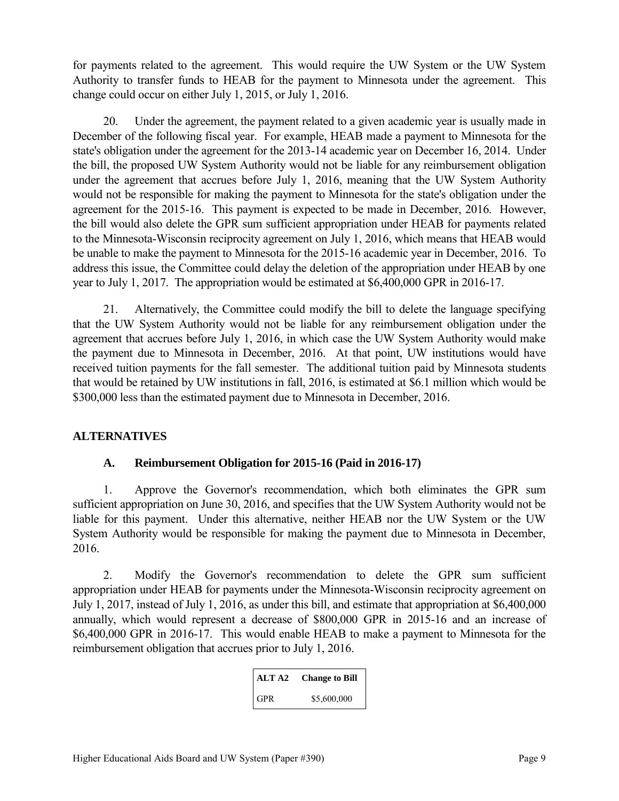for payments related to the agreement. This would require the UW System or the UW System Authority to transfer funds to HEAB for the payment to Minnesota under the agreement. This change could occur on either July 1, 2015, or July 1, 2016.

20. Under the agreement, the payment related to a given academic year is usually made in December of the following fiscal year. For example, HEAB made a payment to Minnesota for the state's obligation under the agreement for the 2013-14 academic year on December 16, 2014. Under the bill, the proposed UW System Authority would not be liable for any reimbursement obligation under the agreement that accrues before July 1, 2016, meaning that the UW System Authority would not be responsible for making the payment to Minnesota for the state's obligation under the agreement for the 2015-16. This payment is expected to be made in December, 2016. However, the bill would also delete the GPR sum sufficient appropriation under HEAB for payments related to the Minnesota-Wisconsin reciprocity agreement on July 1, 2016, which means that HEAB would be unable to make the payment to Minnesota for the 2015-16 academic year in December, 2016. To address this issue, the Committee could delay the deletion of the appropriation under HEAB by one year to July 1, 2017. The appropriation would be estimated at \$6,400,000 GPR in 2016-17.

21. Alternatively, the Committee could modify the bill to delete the language specifying that the UW System Authority would not be liable for any reimbursement obligation under the agreement that accrues before July 1, 2016, in which case the UW System Authority would make the payment due to Minnesota in December, 2016. At that point, UW institutions would have received tuition payments for the fall semester. The additional tuition paid by Minnesota students that would be retained by UW institutions in fall, 2016, is estimated at \$6.1 million which would be \$300,000 less than the estimated payment due to Minnesota in December, 2016.

# **ALTERNATIVES**

# **A. Reimbursement Obligation for 2015-16 (Paid in 2016-17)**

1. Approve the Governor's recommendation, which both eliminates the GPR sum sufficient appropriation on June 30, 2016, and specifies that the UW System Authority would not be liable for this payment. Under this alternative, neither HEAB nor the UW System or the UW System Authority would be responsible for making the payment due to Minnesota in December, 2016.

2. Modify the Governor's recommendation to delete the GPR sum sufficient appropriation under HEAB for payments under the Minnesota-Wisconsin reciprocity agreement on July 1, 2017, instead of July 1, 2016, as under this bill, and estimate that appropriation at \$6,400,000 annually, which would represent a decrease of \$800,000 GPR in 2015-16 and an increase of \$6,400,000 GPR in 2016-17. This would enable HEAB to make a payment to Minnesota for the reimbursement obligation that accrues prior to July 1, 2016.

| ALT A2     | <b>Change to Bill</b> |
|------------|-----------------------|
| <b>GPR</b> | \$5,600,000           |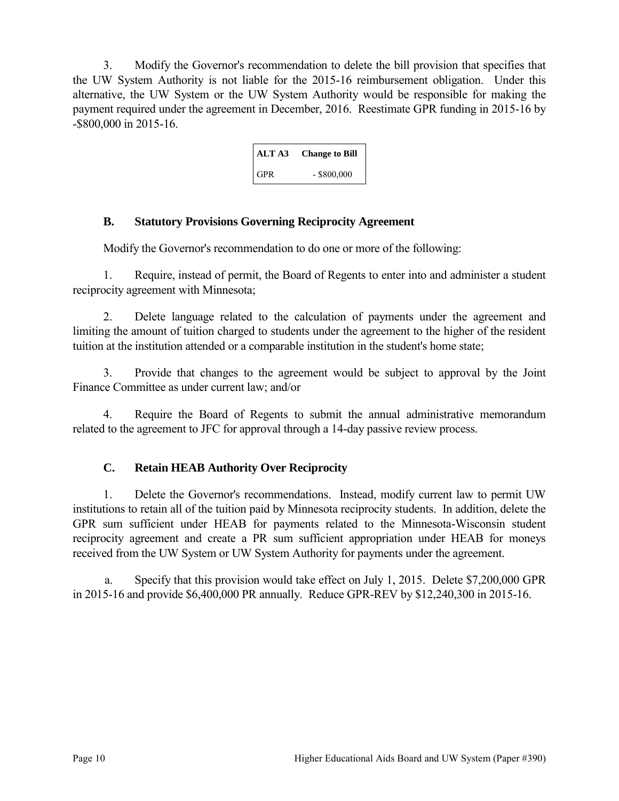3. Modify the Governor's recommendation to delete the bill provision that specifies that the UW System Authority is not liable for the 2015-16 reimbursement obligation. Under this alternative, the UW System or the UW System Authority would be responsible for making the payment required under the agreement in December, 2016. Reestimate GPR funding in 2015-16 by -\$800,000 in 2015-16.

| ALT A3     | <b>Change to Bill</b> |
|------------|-----------------------|
| <b>GPR</b> | $-$ \$800,000         |

# **B. Statutory Provisions Governing Reciprocity Agreement**

Modify the Governor's recommendation to do one or more of the following:

1. Require, instead of permit, the Board of Regents to enter into and administer a student reciprocity agreement with Minnesota;

2. Delete language related to the calculation of payments under the agreement and limiting the amount of tuition charged to students under the agreement to the higher of the resident tuition at the institution attended or a comparable institution in the student's home state;

3. Provide that changes to the agreement would be subject to approval by the Joint Finance Committee as under current law; and/or

4. Require the Board of Regents to submit the annual administrative memorandum related to the agreement to JFC for approval through a 14-day passive review process.

# **C. Retain HEAB Authority Over Reciprocity**

1. Delete the Governor's recommendations. Instead, modify current law to permit UW institutions to retain all of the tuition paid by Minnesota reciprocity students. In addition, delete the GPR sum sufficient under HEAB for payments related to the Minnesota-Wisconsin student reciprocity agreement and create a PR sum sufficient appropriation under HEAB for moneys received from the UW System or UW System Authority for payments under the agreement.

a. Specify that this provision would take effect on July 1, 2015. Delete \$7,200,000 GPR in 2015-16 and provide \$6,400,000 PR annually. Reduce GPR-REV by \$12,240,300 in 2015-16.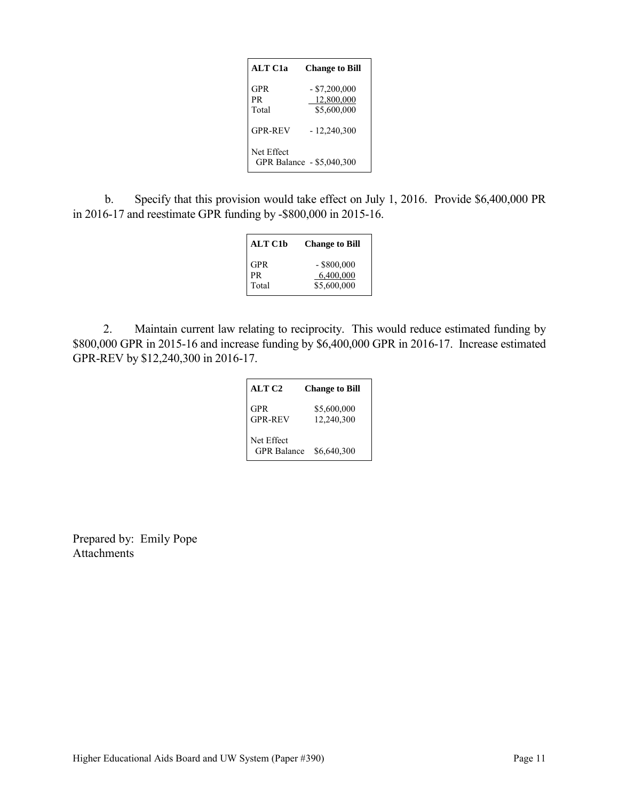| <b>ALT C1a</b>     | <b>Change to Bill</b>                        |
|--------------------|----------------------------------------------|
| GPR<br>PR<br>Total | $-$ \$7,200,000<br>12,800,000<br>\$5,600,000 |
| <b>GPR-REV</b>     | $-12,240,300$                                |
| Net Effect         | GPR Balance - \$5,040,300                    |

b. Specify that this provision would take effect on July 1, 2016. Provide \$6,400,000 PR in 2016-17 and reestimate GPR funding by -\$800,000 in 2015-16.

| <b>ALT C1b</b> | <b>Change to Bill</b> |
|----------------|-----------------------|
| <b>GPR</b>     | $-$ \$800,000         |
| PR             | 6,400,000             |
| Total          | \$5,600,000           |

2. Maintain current law relating to reciprocity. This would reduce estimated funding by \$800,000 GPR in 2015-16 and increase funding by \$6,400,000 GPR in 2016-17. Increase estimated GPR-REV by \$12,240,300 in 2016-17.

| <b>ALT C2</b>                    | <b>Change to Bill</b>     |
|----------------------------------|---------------------------|
| GPR<br><b>GPR-REV</b>            | \$5,600,000<br>12,240,300 |
| Net Effect<br><b>GPR</b> Balance | \$6,640,300               |

Prepared by: Emily Pope Attachments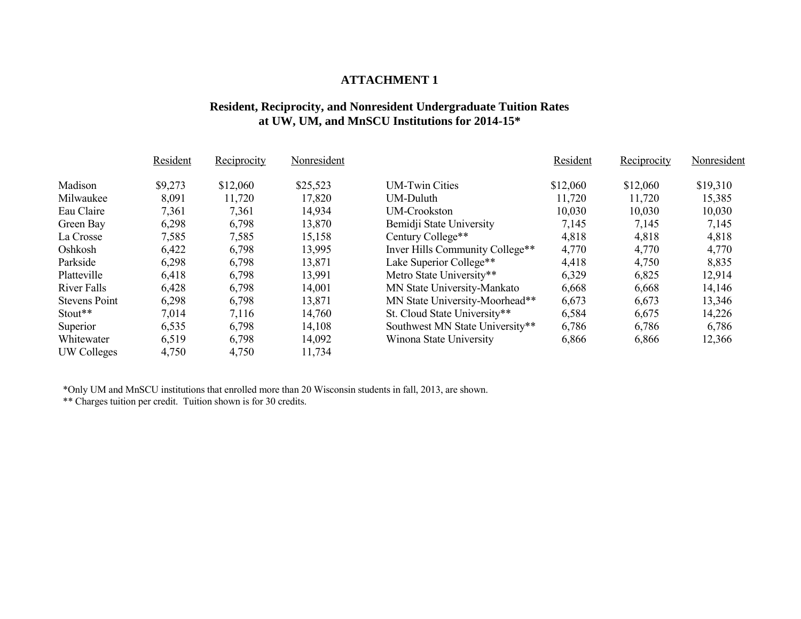# **ATTACHMENT 1**

### **Resident, Reciprocity, and Nonresident Undergraduate Tuition Rates at UW, UM, and MnSCU Institutions for 2014-15\***

|                      | Resident | Reciprocity | Nonresident |                                 | Resident | Reciprocity | Nonresident |
|----------------------|----------|-------------|-------------|---------------------------------|----------|-------------|-------------|
| Madison              | \$9,273  | \$12,060    | \$25,523    | <b>UM-Twin Cities</b>           | \$12,060 | \$12,060    | \$19,310    |
| Milwaukee            | 8,091    | 11,720      | 17,820      | <b>UM-Duluth</b>                | 11,720   | 11,720      | 15,385      |
| Eau Claire           | 7,361    | 7,361       | 14,934      | <b>UM-Crookston</b>             | 10,030   | 10,030      | 10,030      |
| Green Bay            | 6,298    | 6,798       | 13,870      | Bemidji State University        | 7,145    | 7,145       | 7,145       |
| La Crosse            | 7,585    | 7,585       | 15,158      | Century College**               | 4,818    | 4,818       | 4,818       |
| Oshkosh              | 6,422    | 6,798       | 13,995      | Inver Hills Community College** | 4,770    | 4,770       | 4,770       |
| Parkside             | 6,298    | 6,798       | 13,871      | Lake Superior College**         | 4,418    | 4,750       | 8,835       |
| Platteville          | 6,418    | 6,798       | 13,991      | Metro State University**        | 6,329    | 6,825       | 12,914      |
| River Falls          | 6,428    | 6,798       | 14,001      | MN State University-Mankato     | 6,668    | 6,668       | 14,146      |
| <b>Stevens Point</b> | 6,298    | 6,798       | 13,871      | MN State University-Moorhead**  | 6,673    | 6,673       | 13,346      |
| Stout**              | 7,014    | 7,116       | 14,760      | St. Cloud State University**    | 6,584    | 6,675       | 14,226      |
| Superior             | 6,535    | 6,798       | 14,108      | Southwest MN State University** | 6,786    | 6,786       | 6,786       |
| Whitewater           | 6,519    | 6,798       | 14,092      | Winona State University         | 6,866    | 6,866       | 12,366      |
| UW Colleges          | 4,750    | 4,750       | 11,734      |                                 |          |             |             |

\*Only UM and MnSCU institutions that enrolled more than 20 Wisconsin students in fall, 2013, are shown.

\*\* Charges tuition per credit. Tuition shown is for 30 credits.